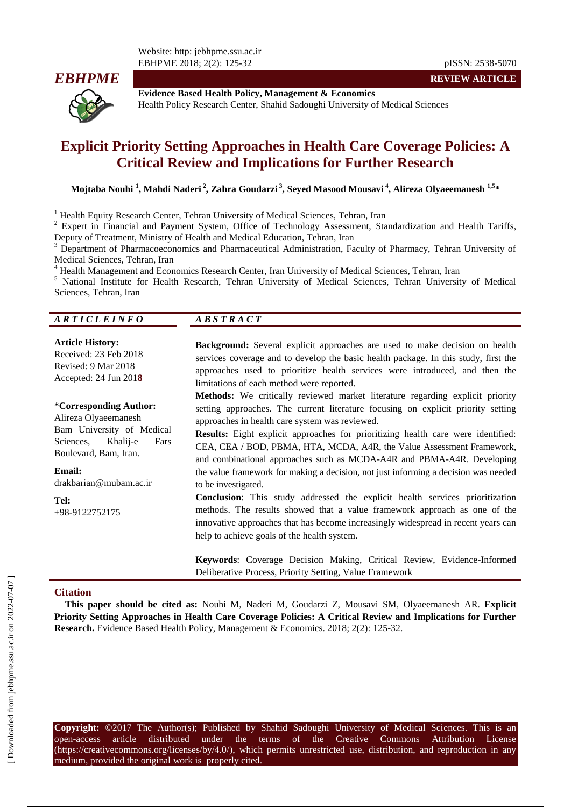Website: http: jebhpme.ssu.ac.ir EBHPME 2018; 2(2): 125-32 pISSN: 2538-5070



**REVIEW ARTICLE**

**Evidence Based Health Policy, Management & Economics** Health Policy Research Center, Shahid Sadoughi University of Medical Sciences

# **Explicit Priority Setting Approaches in Health Care Coverage Policies: A Critical Review and Implications for Further Research**

**Mojtaba Nouhi <sup>1</sup> , Mahdi Naderi <sup>2</sup> , Zahra Goudarzi <sup>3</sup> , Seyed Masood Mousavi <sup>4</sup> , Alireza Olyaeemanesh 1,5 \***

<sup>1</sup> Health Equity Research Center, Tehran University of Medical Sciences, Tehran, Iran

<sup>2</sup> Expert in Financial and Payment System, Office of Technology Assessment, Standardization and Health Tariffs, Deputy of Treatment, Ministry of Health and Medical Education, Tehran, Iran

<sup>3</sup> Department of Pharmacoeconomics and Pharmaceutical Administration, Faculty of Pharmacy, Tehran University of Medical Sciences, Tehran, Iran

<sup>4</sup> [Health Management and Economics Research Center, Iran University of Medical Sciences, Tehran, Iran](http://old.iums.ac.ir/?fkeyid=&siteid=205&fkeyid=&siteid=205&pageid=21139) <sup>5</sup> National Institute for Health Research, Tehran, Injversity of Medical Sciences, Tehran, Injversit

<sup>5</sup> National Institute for Health Research, Tehran University of Medical Sciences, Tehran University of Medical Sciences, Tehran, Iran

| ARTICLEINFO | $\overline{AB}$ S T R A C T |
|-------------|-----------------------------|
|             |                             |

#### **Article History:**

Received: 23 Feb 2018 Revised: 9 Mar 2018 Accepted: 24 Jun 201**8**

#### **\*Corresponding Author:**

Alireza Olyaeemanesh Bam University of Medical Sciences, Khalij-e Fars

Boulevard, Bam, Iran.

drakbarian@mubam.ac.ir

**Tel:** +98-9122752175

**Email:**

**Background:** Several explicit approaches are used to make decision on health services coverage and to develop the basic health package. In this study, first the approaches used to prioritize health services were introduced, and then the limitations of each method were reported.

**Methods:** We critically reviewed market literature regarding explicit priority setting approaches. The current literature focusing on explicit priority setting approaches in health care system was reviewed.

**Results:** Eight explicit approaches for prioritizing health care were identified: CEA, CEA / BOD, PBMA, HTA, MCDA, A4R, the Value Assessment Framework, and combinational approaches such as MCDA-A4R and PBMA-A4R. Developing the value framework for making a decision, not just informing a decision was needed to be investigated.

**Conclusion**: This study addressed the explicit health services prioritization methods. The results showed that a value framework approach as one of the innovative approaches that has become increasingly widespread in recent years can help to achieve goals of the health system.

**Keywords**: Coverage Decision Making, Critical Review, Evidence-Informed Deliberative Process, Priority Setting, Value Framework

#### **Citation**

**This paper should be cited as:** Nouhi M, Naderi M, Goudarzi Z, Mousavi SM, Olyaeemanesh AR. **Explicit Priority Setting Approaches in Health Care Coverage Policies: A Critical Review and Implications for Further Research.** Evidence Based Health Policy, Management & Economics. 2018; 2(2): 125-32.

**Copyright:** ©2017 The Author(s); Published by Shahid Sadoughi University of Medical Sciences. This is an open-access article distributed under the terms of the Creative Commons Attribution License (https://creativecommons.org/licenses/by/4.0/), which permits unrestricted use, distribution, and reproduction in any medium, provided the original work is properly cited.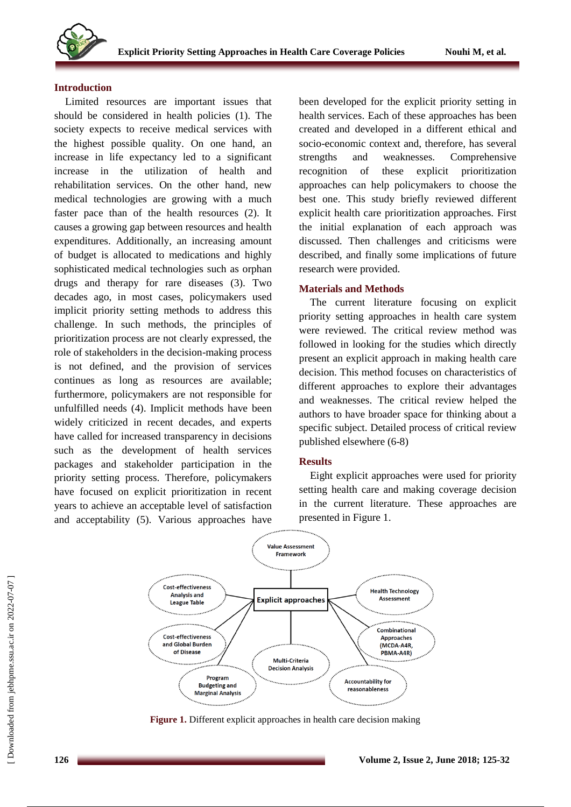

### **Introduction**

Limited resources are important issues that should be considered in health policies (1). The society expects to receive medical services with the highest possible quality. On one hand, an increase in life expectancy led to a significant increase in the utilization of health and rehabilitation services. On the other hand, new medical technologies are growing with a much faster pace than of the health resources (2). It causes a growing gap between resources and health expenditures. Additionally, an increasing amount of budget is allocated to medications and highly sophisticated medical technologies such as orphan drugs and therapy for rare diseases (3). Two decades ago, in most cases, policymakers used implicit priority setting methods to address this challenge. In such methods, the principles of prioritization process are not clearly expressed, the role of stakeholders in the decision-making process is not defined, and the provision of services continues as long as resources are available; furthermore, policymakers are not responsible for unfulfilled needs (4). Implicit methods have been widely criticized in recent decades, and experts have called for increased transparency in decisions such as the development of health services packages and stakeholder participation in the priority setting process. Therefore, policymakers have focused on explicit prioritization in recent years to achieve an acceptable level of satisfaction and acceptability (5). Various approaches have been developed for the explicit priority setting in health services. Each of these approaches has been created and developed in a different ethical and socio-economic context and, therefore, has several strengths and weaknesses. Comprehensive recognition of these explicit prioritization approaches can help policymakers to choose the best one. This study briefly reviewed different explicit health care prioritization approaches. First the initial explanation of each approach was discussed. Then challenges and criticisms were described, and finally some implications of future research were provided.

## **Materials and Methods**

The current literature focusing on explicit priority setting approaches in health care system were reviewed. The critical review method was followed in looking for the studies which directly present an explicit approach in making health care decision. This method focuses on characteristics of different approaches to explore their advantages and weaknesses. The critical review helped the authors to have broader space for thinking about a specific subject. Detailed process of critical review published elsewhere (6-8)

### **Results**

Eight explicit approaches were used for priority setting health care and making coverage decision in the current literature. These approaches are presented in Figure 1.



**Figure 1.** Different explicit approaches in health care decision making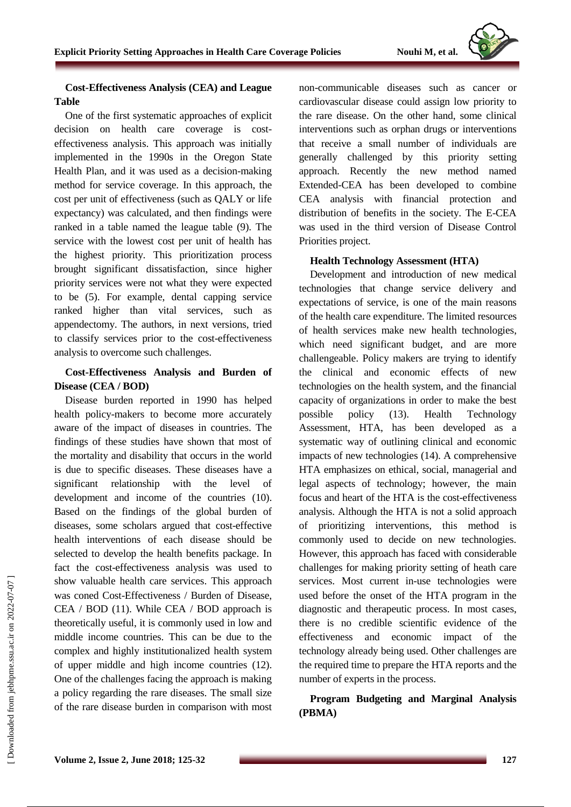

## **Cost-Effectiveness Analysis (CEA) and League Table**

One of the first systematic approaches of explicit decision on health care coverage is costeffectiveness analysis. This approach was initially implemented in the 1990s in the Oregon State Health Plan, and it was used as a decision-making method for service coverage. In this approach, the cost per unit of effectiveness (such as QALY or life expectancy) was calculated, and then findings were ranked in a table named the league table (9). The service with the lowest cost per unit of health has the highest priority. This prioritization process brought significant dissatisfaction, since higher priority services were not what they were expected to be (5). For example, dental capping service ranked higher than vital services, such as appendectomy. The authors, in next versions, tried to classify services prior to the cost-effectiveness analysis to overcome such challenges.

## **Cost-Effectiveness Analysis and Burden of Disease (CEA / BOD)**

Disease burden reported in 1990 has helped health policy-makers to become more accurately aware of the impact of diseases in countries. The findings of these studies have shown that most of the mortality and disability that occurs in the world is due to specific diseases. These diseases have a significant relationship with the level of development and income of the countries (10). Based on the findings of the global burden of diseases, some scholars argued that cost-effective health interventions of each disease should be selected to develop the health benefits package. In fact the cost-effectiveness analysis was used to show valuable health care services. This approach was coned Cost-Effectiveness / Burden of Disease, CEA / BOD (11). While CEA / BOD approach is theoretically useful, it is commonly used in low and middle income countries. This can be due to the complex and highly institutionalized health system of upper middle and high income countries (12). One of the challenges facing the approach is making a policy regarding the rare diseases. The small size of the rare disease burden in comparison with most non-communicable diseases such as cancer or cardiovascular disease could assign low priority to the rare disease. On the other hand, some clinical interventions such as orphan drugs or interventions that receive a small number of individuals are generally challenged by this priority setting approach. Recently the new method named Extended-CEA has been developed to combine CEA analysis with financial protection and distribution of benefits in the society. The E-CEA was used in the third version of Disease Control Priorities project.

## **Health Technology Assessment (HTA)**

Development and introduction of new medical technologies that change service delivery and expectations of service, is one of the main reasons of the health care expenditure. The limited resources of health services make new health technologies, which need significant budget, and are more challengeable. Policy makers are trying to identify the clinical and economic effects of new technologies on the health system, and the financial capacity of organizations in order to make the best possible policy (13). Health Technology Assessment, HTA, has been developed as a systematic way of outlining clinical and economic impacts of new technologies (14). A comprehensive HTA emphasizes on ethical, social, managerial and legal aspects of technology; however, the main focus and heart of the HTA is the cost-effectiveness analysis. Although the HTA is not a solid approach of prioritizing interventions, this method is commonly used to decide on new technologies. However, this approach has faced with considerable challenges for making priority setting of heath care services. Most current in-use technologies were used before the onset of the HTA program in the diagnostic and therapeutic process. In most cases, there is no credible scientific evidence of the effectiveness and economic impact of the technology already being used. Other challenges are the required time to prepare the HTA reports and the number of experts in the process.

**Program Budgeting and Marginal Analysis (PBMA)**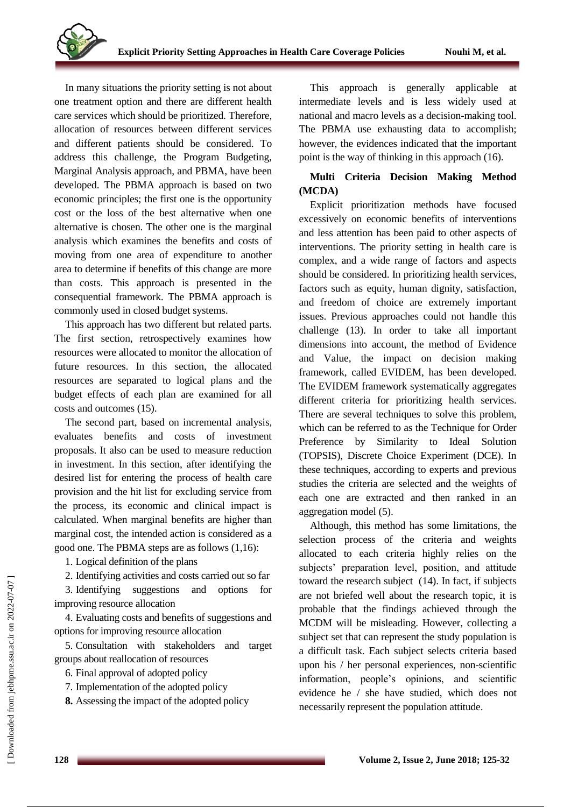

In many situations the priority setting is not about one treatment option and there are different health care services which should be prioritized. Therefore, allocation of resources between different services and different patients should be considered. To address this challenge, the Program Budgeting, Marginal Analysis approach, and PBMA, have been developed. The PBMA approach is based on two economic principles; the first one is the opportunity cost or the loss of the best alternative when one alternative is chosen. The other one is the marginal analysis which examines the benefits and costs of moving from one area of expenditure to another area to determine if benefits of this change are more than costs. This approach is presented in the consequential framework. The PBMA approach is commonly used in closed budget systems.

This approach has two different but related parts. The first section, retrospectively examines how resources were allocated to monitor the allocation of future resources. In this section, the allocated resources are separated to logical plans and the budget effects of each plan are examined for all costs and outcomes (15).

The second part, based on incremental analysis, evaluates benefits and costs of investment proposals. It also can be used to measure reduction in investment. In this section, after identifying the desired list for entering the process of health care provision and the hit list for excluding service from the process, its economic and clinical impact is calculated. When marginal benefits are higher than marginal cost, the intended action is considered as a good one. The PBMA steps are as follows (1,16):

1. Logical definition of the plans

2. Identifying activities and costs carried out so far

3. Identifying suggestions and options for improving resource allocation

4. Evaluating costs and benefits of suggestions and options for improving resource allocation

5. Consultation with stakeholders and target groups about reallocation of resources

- 6. Final approval of adopted policy
- 7. Implementation of the adopted policy
- **8.** Assessing the impact of the adopted policy

This approach is generally applicable at intermediate levels and is less widely used at national and macro levels as a decision-making tool. The PBMA use exhausting data to accomplish; however, the evidences indicated that the important point is the way of thinking in this approach (16).

## **Multi Criteria Decision Making Method (MCDA)**

Explicit prioritization methods have focused excessively on economic benefits of interventions and less attention has been paid to other aspects of interventions. The priority setting in health care is complex, and a wide range of factors and aspects should be considered. In prioritizing health services, factors such as equity, human dignity, satisfaction, and freedom of choice are extremely important issues. Previous approaches could not handle this challenge (13). In order to take all important dimensions into account, the method of Evidence and Value, the impact on decision making framework, called EVIDEM, has been developed. The EVIDEM framework systematically aggregates different criteria for prioritizing health services. There are several techniques to solve this problem, which can be referred to as the Technique for Order Preference by Similarity to Ideal Solution (TOPSIS), Discrete Choice Experiment (DCE). In these techniques, according to experts and previous studies the criteria are selected and the weights of each one are extracted and then ranked in an aggregation model (5).

Although, this method has some limitations, the selection process of the criteria and weights allocated to each criteria highly relies on the subjects' preparation level, position, and attitude toward the research subject (14). In fact, if subjects are not briefed well about the research topic, it is probable that the findings achieved through the MCDM will be misleading. However, collecting a subject set that can represent the study population is a difficult task. Each subject selects criteria based upon his / her personal experiences, non-scientific information, people's opinions, and scientific evidence he / she have studied, which does not necessarily represent the population attitude.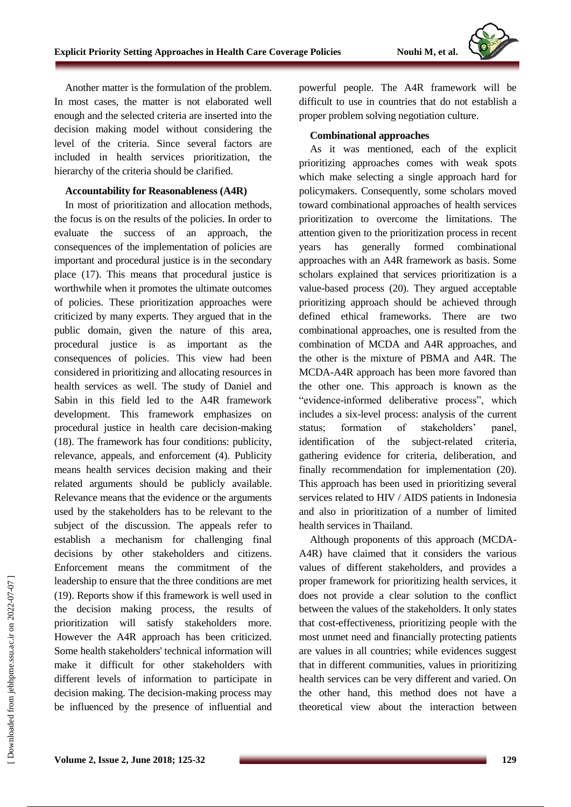

Another matter is the formulation of the problem. In most cases, the matter is not elaborated well enough and the selected criteria are inserted into the decision making model without considering the level of the criteria. Since several factors are included in health services prioritization, the hierarchy of the criteria should be clarified.

### **Accountability for Reasonableness (A4R)**

In most of prioritization and allocation methods, the focus is on the results of the policies. In order to evaluate the success of an approach, the consequences of the implementation of policies are important and procedural justice is in the secondary place (17). This means that procedural justice is worthwhile when it promotes the ultimate outcomes of policies. These prioritization approaches were criticized by many experts. They argued that in the public domain, given the nature of this area, procedural justice is as important as the consequences of policies. This view had been considered in prioritizing and allocating resources in health services as well. The study of Daniel and Sabin in this field led to the A4R framework development. This framework emphasizes on procedural justice in health care decision-making (18). The framework has four conditions: publicity, relevance, appeals, and enforcement (4). Publicity means health services decision making and their related arguments should be publicly available. Relevance means that the evidence or the arguments used by the stakeholders has to be relevant to the subject of the discussion. The appeals refer to establish a mechanism for challenging final decisions by other stakeholders and citizens. Enforcement means the commitment of the leadership to ensure that the three conditions are met (19). Reports show if this framework is well used in the decision making process, the results of prioritization will satisfy stakeholders more. However the A4R approach has been criticized. Some health stakeholders' technical information will make it difficult for other stakeholders with different levels of information to participate in decision making. The decision-making process may be influenced by the presence of influential and powerful people. The A4R framework will be difficult to use in countries that do not establish a proper problem solving negotiation culture.

### **Combinational approaches**

As it was mentioned, each of the explicit prioritizing approaches comes with weak spots which make selecting a single approach hard for policymakers. Consequently, some scholars moved toward combinational approaches of health services prioritization to overcome the limitations. The attention given to the prioritization process in recent years has generally formed combinational approaches with an A4R framework as basis. Some scholars explained that services prioritization is a value-based process (20). They argued acceptable prioritizing approach should be achieved through defined ethical frameworks. There are two combinational approaches, one is resulted from the combination of MCDA and A4R approaches, and the other is the mixture of PBMA and A4R. The MCDA-A4R approach has been more favored than the other one. This approach is known as the "evidence-informed deliberative process", which includes a six-level process: analysis of the current status; formation of stakeholders' panel, identification of the subject-related criteria, gathering evidence for criteria, deliberation, and finally recommendation for implementation (20). This approach has been used in prioritizing several services related to HIV / AIDS patients in Indonesia and also in prioritization of a number of limited health services in Thailand.

Although proponents of this approach (MCDA-A4R) have claimed that it considers the various values of different stakeholders, and provides a proper framework for prioritizing health services, it does not provide a clear solution to the conflict between the values of the stakeholders. It only states that cost-effectiveness, prioritizing people with the most unmet need and financially protecting patients are values in all countries; while evidences suggest that in different communities, values in prioritizing health services can be very different and varied. On the other hand, this method does not have a theoretical view about the interaction between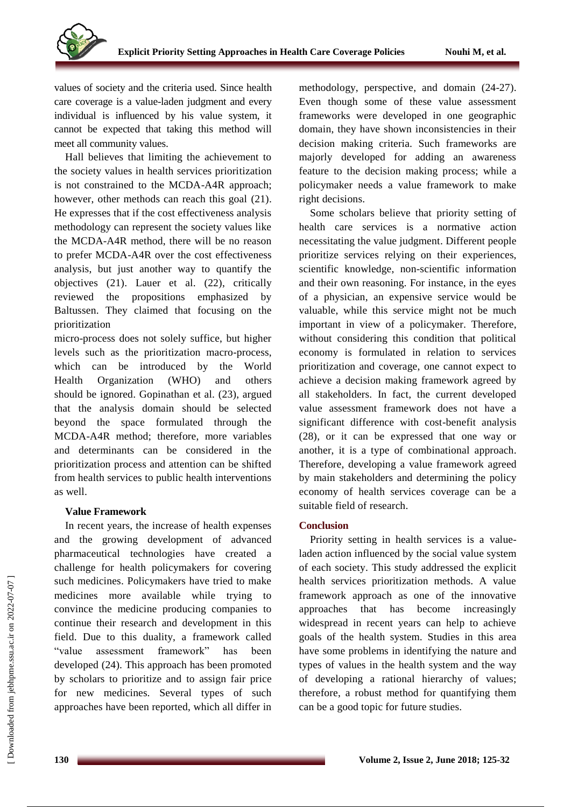

values of society and the criteria used. Since health care coverage is a value-laden judgment and every individual is influenced by his value system, it cannot be expected that taking this method will meet all community values.

Hall believes that limiting the achievement to the society values in health services prioritization is not constrained to the MCDA-A4R approach; however, other methods can reach this goal (21). He expresses that if the cost effectiveness analysis methodology can represent the society values like the MCDA-A4R method, there will be no reason to prefer MCDA-A4R over the cost effectiveness analysis, but just another way to quantify the objectives (21). Lauer et al. (22), critically reviewed the propositions emphasized by Baltussen. They claimed that focusing on the prioritization

micro-process does not solely suffice, but higher levels such as the prioritization macro-process, which can be introduced by the World Health Organization (WHO) and others should be ignored. Gopinathan et al. (23), argued that the analysis domain should be selected beyond the space formulated through MCDA-A4R method; therefore, more variables and determinants can be considered in the prioritization process and attention can be shifted from health services to public health interventions as well.

### **Value Framework**

In recent years, the increase of health expenses and the growing development of advanced pharmaceutical technologies have created a challenge for health policymakers for covering such medicines. Policymakers have tried to make medicines more available while trying to convince the medicine producing companies to continue their research and development in this field. Due to this duality, a framework called "value assessment framework" has been developed (24). This approach has been promoted by scholars to prioritize and to assign fair price for new medicines. Several types of such approaches have been reported, which all differ in methodology, perspective, and domain (24-27). Even though some of these value assessment frameworks were developed in one geographic domain, they have shown inconsistencies in their decision making criteria. Such frameworks are majorly developed for adding an awareness feature to the decision making process; while a policymaker needs a value framework to make right decisions.

Some scholars believe that priority setting of health care services is a normative action necessitating the value judgment. Different people prioritize services relying on their experiences, scientific knowledge, non-scientific information and their own reasoning. For instance, in the eyes of a physician, an expensive service would be valuable, while this service might not be much important in view of a policymaker. Therefore, without considering this condition that political economy is formulated in relation to services prioritization and coverage, one cannot expect to achieve a decision making framework agreed by all stakeholders. In fact, the current developed value assessment framework does not have a significant difference with cost-benefit analysis (28), or it can be expressed that one way or another, it is a type of combinational approach. Therefore, developing a value framework agreed by main stakeholders and determining the policy economy of health services coverage can be a suitable field of research.

### **Conclusion**

Priority setting in health services is a valueladen action influenced by the social value system of each society. This study addressed the explicit health services prioritization methods. A value framework approach as one of the innovative approaches that has become increasingly widespread in recent years can help to achieve goals of the health system. Studies in this area have some problems in identifying the nature and types of values in the health system and the way of developing a rational hierarchy of values; therefore, a robust method for quantifying them can be a good topic for future studies.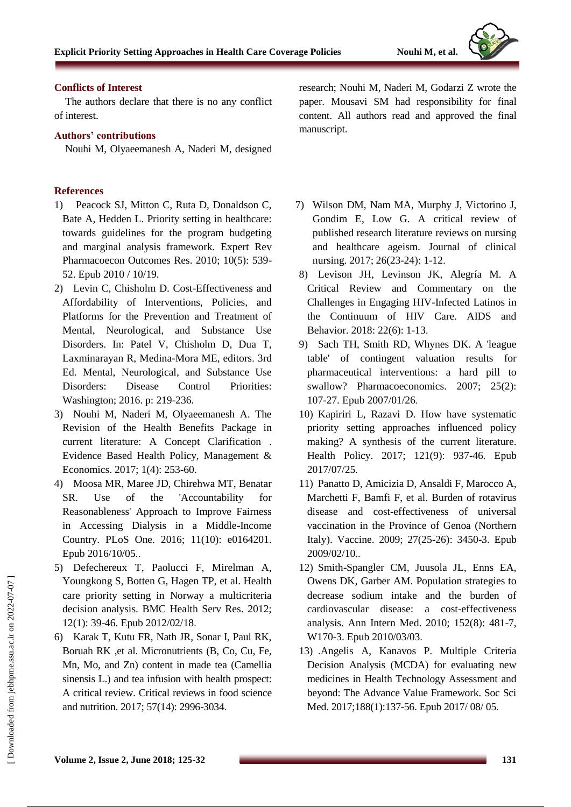

### **Conflicts of Interest**

The authors declare that there is no any conflict of interest.

## **Authors' contributions**

Nouhi M, Olyaeemanesh A, Naderi M, designed

## **References**

- 1) Peacock SJ, Mitton C, Ruta D, Donaldson C, Bate A, Hedden L. Priority setting in healthcare: towards guidelines for the program budgeting and marginal analysis framework. Expert Rev Pharmacoecon Outcomes Res. 2010; 10(5): 539- 52. Epub 2010 / 10/19.
- 2) Levin C, Chisholm D. Cost-Effectiveness and Affordability of Interventions, Policies, and Platforms for the Prevention and Treatment of Mental, Neurological, and Substance Use Disorders. In: Patel V, Chisholm D, Dua T, Laxminarayan R, Medina-Mora ME, editors. 3rd Ed. Mental, Neurological, and Substance Use Disorders: Disease Control Priorities: Washington; 2016. p: 219-236.
- 3) Nouhi M, Naderi M, Olyaeemanesh A. The Revision of the Health Benefits Package in current literature: A Concept Clarification . Evidence Based Health Policy, Management & Economics. 2017; 1(4): 253-60.
- 4) Moosa MR, Maree JD, Chirehwa MT, Benatar SR. Use of the 'Accountability for Reasonableness' Approach to Improve Fairness in Accessing Dialysis in a Middle-Income Country. PLoS One. 2016; 11(10): e0164201. Epub 2016/10/05..
- 5) Defechereux T, Paolucci F, Mirelman A, Youngkong S, Botten G, Hagen TP, et al. Health care priority setting in Norway a multicriteria decision analysis. BMC Health Serv Res. 2012; 12(1): 39-46. Epub 2012/02/18.
- 6) Karak T, Kutu FR, Nath JR, Sonar I, Paul RK, Boruah RK ,et al. Micronutrients (B, Co, Cu, Fe, Mn, Mo, and Zn) content in made tea (Camellia sinensis L.) and tea infusion with health prospect: A critical review. Critical reviews in food science and nutrition. 2017; 57(14): 2996-3034.

research; Nouhi M, Naderi M, Godarzi Z wrote the paper. Mousavi SM had responsibility for final content. All authors read and approved the final manuscript.

- 7) Wilson DM, Nam MA, Murphy J, Victorino J, Gondim E, Low G. A critical review of published research literature reviews on nursing and healthcare ageism. Journal of clinical nursing. 2017; 26(23-24): 1-12.
- 8) Levison JH, Levinson JK, Alegría M. A Critical Review and Commentary on the Challenges in Engaging HIV-Infected Latinos in the Continuum of HIV Care. AIDS and Behavior. 2018: 22(6): 1-13.
- 9) Sach TH, Smith RD, Whynes DK. A 'league table' of contingent valuation results for pharmaceutical interventions: a hard pill to swallow? Pharmacoeconomics. 2007; 25(2): 107-27. Epub 2007/01/26.
- 10) Kapiriri L, Razavi D. How have systematic priority setting approaches influenced policy making? A synthesis of the current literature. Health Policy. 2017; 121(9): 937-46. Epub 2017/07/25.
- 11) Panatto D, Amicizia D, Ansaldi F, Marocco A, Marchetti F, Bamfi F, et al. Burden of rotavirus disease and cost-effectiveness of universal vaccination in the Province of Genoa (Northern Italy). Vaccine. 2009; 27(25-26): 3450-3. Epub 2009/02/10..
- 12) Smith-Spangler CM, Juusola JL, Enns EA, Owens DK, Garber AM. Population strategies to decrease sodium intake and the burden of cardiovascular disease: a cost-effectiveness analysis. Ann Intern Med. 2010; 152(8): 481-7, W170-3. Epub 2010/03/03.
- 13) .Angelis A, Kanavos P. Multiple Criteria Decision Analysis (MCDA) for evaluating new medicines in Health Technology Assessment and beyond: The Advance Value Framework. Soc Sci Med. 2017;188(1):137-56. Epub 2017/ 08/ 05.